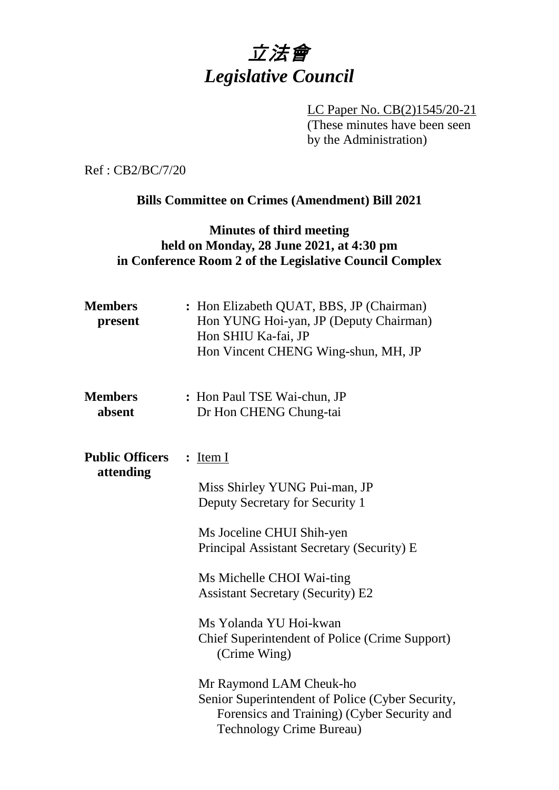

LC Paper No. CB(2)1545/20-21 (These minutes have been seen by the Administration)

Ref : CB2/BC/7/20

### **Bills Committee on Crimes (Amendment) Bill 2021**

## **Minutes of third meeting held on Monday, 28 June 2021, at 4:30 pm in Conference Room 2 of the Legislative Council Complex**

| <b>Members</b><br>present           | : Hon Elizabeth QUAT, BBS, JP (Chairman)<br>Hon YUNG Hoi-yan, JP (Deputy Chairman)<br>Hon SHIU Ka-fai, JP<br>Hon Vincent CHENG Wing-shun, MH, JP                                                                                                                                                                                                                                                                                                                    |
|-------------------------------------|---------------------------------------------------------------------------------------------------------------------------------------------------------------------------------------------------------------------------------------------------------------------------------------------------------------------------------------------------------------------------------------------------------------------------------------------------------------------|
| <b>Members</b><br>absent            | : Hon Paul TSE Wai-chun, JP<br>Dr Hon CHENG Chung-tai                                                                                                                                                                                                                                                                                                                                                                                                               |
| <b>Public Officers</b><br>attending | $:$ Item I<br>Miss Shirley YUNG Pui-man, JP<br>Deputy Secretary for Security 1<br>Ms Joceline CHUI Shih-yen<br>Principal Assistant Secretary (Security) E<br>Ms Michelle CHOI Wai-ting<br><b>Assistant Secretary (Security) E2</b><br>Ms Yolanda YU Hoi-kwan<br><b>Chief Superintendent of Police (Crime Support)</b><br>(Crime Wing)<br>Mr Raymond LAM Cheuk-ho<br>Senior Superintendent of Police (Cyber Security,<br>Forensics and Training) (Cyber Security and |
|                                     | <b>Technology Crime Bureau)</b>                                                                                                                                                                                                                                                                                                                                                                                                                                     |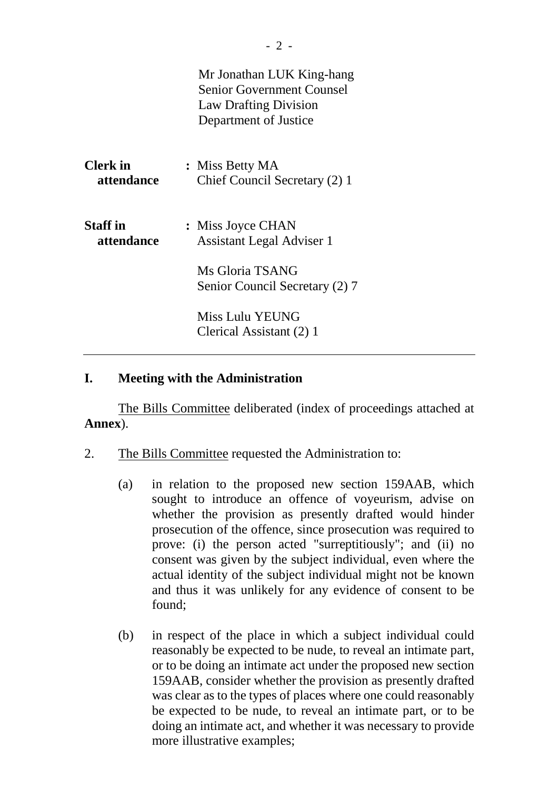|                               | Mr Jonathan LUK King-hang<br><b>Senior Government Counsel</b><br><b>Law Drafting Division</b><br>Department of Justice |
|-------------------------------|------------------------------------------------------------------------------------------------------------------------|
| <b>Clerk</b> in<br>attendance | : Miss Betty MA<br>Chief Council Secretary (2) 1                                                                       |
| <b>Staff</b> in<br>attendance | : Miss Joyce CHAN<br><b>Assistant Legal Adviser 1</b>                                                                  |
|                               | Ms Gloria TSANG<br>Senior Council Secretary (2) 7                                                                      |
|                               | Miss Lulu YEUNG<br>Clerical Assistant (2) 1                                                                            |

### **I. Meeting with the Administration**

The Bills Committee deliberated (index of proceedings attached at **Annex**).

- 2. The Bills Committee requested the Administration to:
	- (a) in relation to the proposed new section 159AAB, which sought to introduce an offence of voyeurism, advise on whether the provision as presently drafted would hinder prosecution of the offence, since prosecution was required to prove: (i) the person acted "surreptitiously"; and (ii) no consent was given by the subject individual, even where the actual identity of the subject individual might not be known and thus it was unlikely for any evidence of consent to be found;
	- (b) in respect of the place in which a subject individual could reasonably be expected to be nude, to reveal an intimate part, or to be doing an intimate act under the proposed new section 159AAB, consider whether the provision as presently drafted was clear as to the types of places where one could reasonably be expected to be nude, to reveal an intimate part, or to be doing an intimate act, and whether it was necessary to provide more illustrative examples;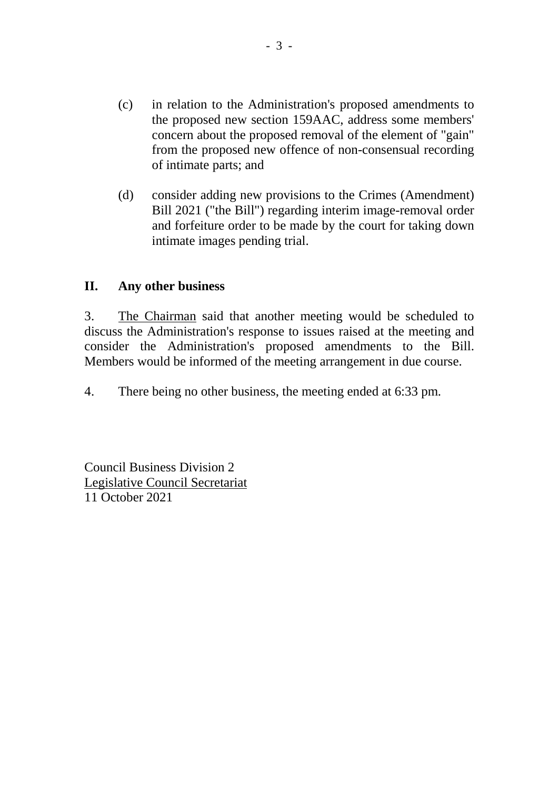- (c) in relation to the Administration's proposed amendments to the proposed new section 159AAC, address some members' concern about the proposed removal of the element of "gain" from the proposed new offence of non-consensual recording of intimate parts; and
- (d) consider adding new provisions to the Crimes (Amendment) Bill 2021 ("the Bill") regarding interim image-removal order and forfeiture order to be made by the court for taking down intimate images pending trial.

### **II. Any other business**

3. The Chairman said that another meeting would be scheduled to discuss the Administration's response to issues raised at the meeting and consider the Administration's proposed amendments to the Bill. Members would be informed of the meeting arrangement in due course.

4. There being no other business, the meeting ended at 6:33 pm.

Council Business Division 2 Legislative Council Secretariat 11 October 2021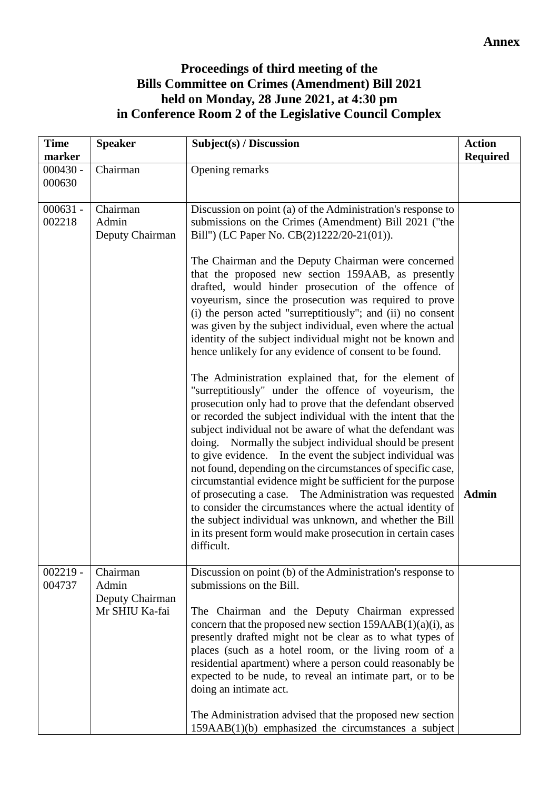# **Proceedings of third meeting of the Bills Committee on Crimes (Amendment) Bill 2021 held on Monday, 28 June 2021, at 4:30 pm in Conference Room 2 of the Legislative Council Complex**

| <b>Time</b><br>marker | <b>Speaker</b>                                         | Subject(s) / Discussion                                                                                                                                                                                                                                                                                                                                                                                                                                                                                                                                                                                                                                                                                                                                                                                                                                                                                                                                                                                                                                                                                                                                                                                                                                                                                                                                                                                                                                                                   | <b>Action</b><br><b>Required</b> |
|-----------------------|--------------------------------------------------------|-------------------------------------------------------------------------------------------------------------------------------------------------------------------------------------------------------------------------------------------------------------------------------------------------------------------------------------------------------------------------------------------------------------------------------------------------------------------------------------------------------------------------------------------------------------------------------------------------------------------------------------------------------------------------------------------------------------------------------------------------------------------------------------------------------------------------------------------------------------------------------------------------------------------------------------------------------------------------------------------------------------------------------------------------------------------------------------------------------------------------------------------------------------------------------------------------------------------------------------------------------------------------------------------------------------------------------------------------------------------------------------------------------------------------------------------------------------------------------------------|----------------------------------|
| $000430 -$<br>000630  | Chairman                                               | Opening remarks                                                                                                                                                                                                                                                                                                                                                                                                                                                                                                                                                                                                                                                                                                                                                                                                                                                                                                                                                                                                                                                                                                                                                                                                                                                                                                                                                                                                                                                                           |                                  |
| $000631 -$<br>002218  | Chairman<br>Admin<br>Deputy Chairman                   | Discussion on point (a) of the Administration's response to<br>submissions on the Crimes (Amendment) Bill 2021 ("the<br>Bill") (LC Paper No. CB(2)1222/20-21(01)).<br>The Chairman and the Deputy Chairman were concerned<br>that the proposed new section 159AAB, as presently<br>drafted, would hinder prosecution of the offence of<br>voyeurism, since the prosecution was required to prove<br>(i) the person acted "surreptitiously"; and (ii) no consent<br>was given by the subject individual, even where the actual<br>identity of the subject individual might not be known and<br>hence unlikely for any evidence of consent to be found.<br>The Administration explained that, for the element of<br>"surreptitiously" under the offence of voyeurism, the<br>prosecution only had to prove that the defendant observed<br>or recorded the subject individual with the intent that the<br>subject individual not be aware of what the defendant was<br>doing. Normally the subject individual should be present<br>to give evidence. In the event the subject individual was<br>not found, depending on the circumstances of specific case,<br>circumstantial evidence might be sufficient for the purpose<br>of prosecuting a case. The Administration was requested<br>to consider the circumstances where the actual identity of<br>the subject individual was unknown, and whether the Bill<br>in its present form would make prosecution in certain cases<br>difficult. | <b>Admin</b>                     |
| $002219 -$<br>004737  | Chairman<br>Admin<br>Deputy Chairman<br>Mr SHIU Ka-fai | Discussion on point (b) of the Administration's response to<br>submissions on the Bill.<br>The Chairman and the Deputy Chairman expressed<br>concern that the proposed new section $159AAB(1)(a)(i)$ , as<br>presently drafted might not be clear as to what types of<br>places (such as a hotel room, or the living room of a<br>residential apartment) where a person could reasonably be<br>expected to be nude, to reveal an intimate part, or to be<br>doing an intimate act.<br>The Administration advised that the proposed new section<br>159AAB(1)(b) emphasized the circumstances a subject                                                                                                                                                                                                                                                                                                                                                                                                                                                                                                                                                                                                                                                                                                                                                                                                                                                                                     |                                  |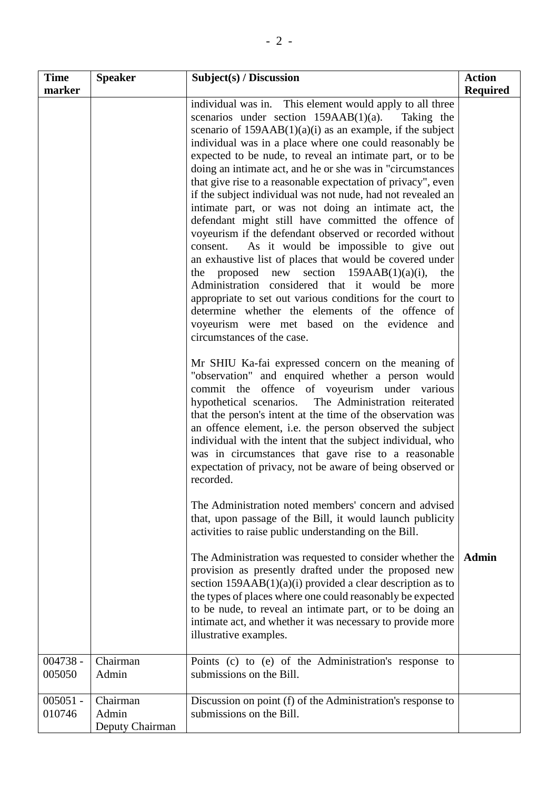| <b>Time</b>          | <b>Speaker</b>                       | Subject(s) / Discussion                                                                                                                                                                                                                                                                                                                                                                                                                                                                                                                                                                                                                                                                                                                                                                                                                                                                                                                                                                                                                                                                                                                                                                                                                                                                                                                                                                                                                                            | <b>Action</b>   |
|----------------------|--------------------------------------|--------------------------------------------------------------------------------------------------------------------------------------------------------------------------------------------------------------------------------------------------------------------------------------------------------------------------------------------------------------------------------------------------------------------------------------------------------------------------------------------------------------------------------------------------------------------------------------------------------------------------------------------------------------------------------------------------------------------------------------------------------------------------------------------------------------------------------------------------------------------------------------------------------------------------------------------------------------------------------------------------------------------------------------------------------------------------------------------------------------------------------------------------------------------------------------------------------------------------------------------------------------------------------------------------------------------------------------------------------------------------------------------------------------------------------------------------------------------|-----------------|
| marker               |                                      |                                                                                                                                                                                                                                                                                                                                                                                                                                                                                                                                                                                                                                                                                                                                                                                                                                                                                                                                                                                                                                                                                                                                                                                                                                                                                                                                                                                                                                                                    | <b>Required</b> |
|                      |                                      | individual was in. This element would apply to all three<br>scenarios under section $159AAB(1)(a)$ .<br>Taking the<br>scenario of $159AAB(1)(a)(i)$ as an example, if the subject<br>individual was in a place where one could reasonably be<br>expected to be nude, to reveal an intimate part, or to be<br>doing an intimate act, and he or she was in "circumstances"<br>that give rise to a reasonable expectation of privacy", even<br>if the subject individual was not nude, had not revealed an<br>intimate part, or was not doing an intimate act, the<br>defendant might still have committed the offence of<br>voyeurism if the defendant observed or recorded without<br>consent.<br>As it would be impossible to give out<br>an exhaustive list of places that would be covered under<br>proposed new section<br>$159AAB(1)(a)(i)$ ,<br>the<br>the<br>Administration considered that it would be more<br>appropriate to set out various conditions for the court to<br>determine whether the elements of the offence of<br>voyeurism were met based on the evidence and<br>circumstances of the case.<br>Mr SHIU Ka-fai expressed concern on the meaning of<br>"observation" and enquired whether a person would<br>commit the offence of voyeurism under various<br>hypothetical scenarios. The Administration reiterated<br>that the person's intent at the time of the observation was<br>an offence element, i.e. the person observed the subject |                 |
|                      |                                      | individual with the intent that the subject individual, who<br>was in circumstances that gave rise to a reasonable<br>expectation of privacy, not be aware of being observed or<br>recorded.<br>The Administration noted members' concern and advised<br>that, upon passage of the Bill, it would launch publicity                                                                                                                                                                                                                                                                                                                                                                                                                                                                                                                                                                                                                                                                                                                                                                                                                                                                                                                                                                                                                                                                                                                                                 |                 |
|                      |                                      | activities to raise public understanding on the Bill.<br>The Administration was requested to consider whether the<br>provision as presently drafted under the proposed new<br>section 159AAB(1)(a)(i) provided a clear description as to<br>the types of places where one could reasonably be expected                                                                                                                                                                                                                                                                                                                                                                                                                                                                                                                                                                                                                                                                                                                                                                                                                                                                                                                                                                                                                                                                                                                                                             | <b>Admin</b>    |
| 004738 -             | Chairman                             | to be nude, to reveal an intimate part, or to be doing an<br>intimate act, and whether it was necessary to provide more<br>illustrative examples.<br>Points (c) to (e) of the Administration's response to                                                                                                                                                                                                                                                                                                                                                                                                                                                                                                                                                                                                                                                                                                                                                                                                                                                                                                                                                                                                                                                                                                                                                                                                                                                         |                 |
| 005050               | Admin                                | submissions on the Bill.                                                                                                                                                                                                                                                                                                                                                                                                                                                                                                                                                                                                                                                                                                                                                                                                                                                                                                                                                                                                                                                                                                                                                                                                                                                                                                                                                                                                                                           |                 |
| $005051 -$<br>010746 | Chairman<br>Admin<br>Deputy Chairman | Discussion on point (f) of the Administration's response to<br>submissions on the Bill.                                                                                                                                                                                                                                                                                                                                                                                                                                                                                                                                                                                                                                                                                                                                                                                                                                                                                                                                                                                                                                                                                                                                                                                                                                                                                                                                                                            |                 |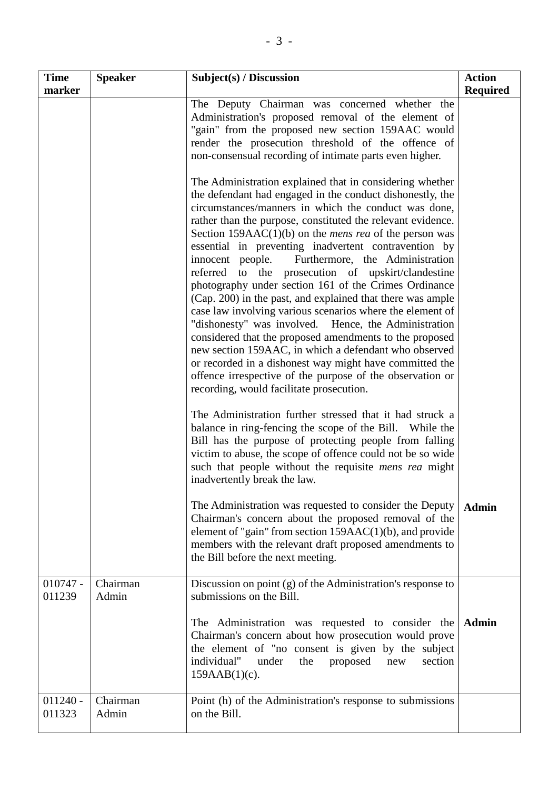| <b>Time</b><br>marker | <b>Speaker</b>    | Subject(s) / Discussion                                                                                                                                                                                                                                                                                                                                                                                                                                                                                                                                                                                                                                                                                                                                                                                                                                                                                                                                                                                                                                                                                                                                                                                        | <b>Action</b><br><b>Required</b> |
|-----------------------|-------------------|----------------------------------------------------------------------------------------------------------------------------------------------------------------------------------------------------------------------------------------------------------------------------------------------------------------------------------------------------------------------------------------------------------------------------------------------------------------------------------------------------------------------------------------------------------------------------------------------------------------------------------------------------------------------------------------------------------------------------------------------------------------------------------------------------------------------------------------------------------------------------------------------------------------------------------------------------------------------------------------------------------------------------------------------------------------------------------------------------------------------------------------------------------------------------------------------------------------|----------------------------------|
|                       |                   | The Deputy Chairman was concerned whether the<br>Administration's proposed removal of the element of<br>"gain" from the proposed new section 159AAC would<br>render the prosecution threshold of the offence of<br>non-consensual recording of intimate parts even higher.                                                                                                                                                                                                                                                                                                                                                                                                                                                                                                                                                                                                                                                                                                                                                                                                                                                                                                                                     |                                  |
|                       |                   | The Administration explained that in considering whether<br>the defendant had engaged in the conduct dishonestly, the<br>circumstances/manners in which the conduct was done,<br>rather than the purpose, constituted the relevant evidence.<br>Section 159AAC $(1)(b)$ on the <i>mens rea</i> of the person was<br>essential in preventing inadvertent contravention by<br>innocent people.<br>Furthermore, the Administration<br>referred to<br>the prosecution of upskirt/clandestine<br>photography under section 161 of the Crimes Ordinance<br>(Cap. 200) in the past, and explained that there was ample<br>case law involving various scenarios where the element of<br>"dishonesty" was involved. Hence, the Administration<br>considered that the proposed amendments to the proposed<br>new section 159AAC, in which a defendant who observed<br>or recorded in a dishonest way might have committed the<br>offence irrespective of the purpose of the observation or<br>recording, would facilitate prosecution.<br>The Administration further stressed that it had struck a<br>balance in ring-fencing the scope of the Bill. While the<br>Bill has the purpose of protecting people from falling |                                  |
|                       |                   | victim to abuse, the scope of offence could not be so wide<br>such that people without the requisite mens rea might<br>inadvertently break the law.                                                                                                                                                                                                                                                                                                                                                                                                                                                                                                                                                                                                                                                                                                                                                                                                                                                                                                                                                                                                                                                            |                                  |
|                       |                   | The Administration was requested to consider the Deputy<br>Chairman's concern about the proposed removal of the<br>element of "gain" from section $159AAC(1)(b)$ , and provide<br>members with the relevant draft proposed amendments to<br>the Bill before the next meeting.                                                                                                                                                                                                                                                                                                                                                                                                                                                                                                                                                                                                                                                                                                                                                                                                                                                                                                                                  | <b>Admin</b>                     |
| $010747 -$<br>011239  | Chairman<br>Admin | Discussion on point (g) of the Administration's response to<br>submissions on the Bill.                                                                                                                                                                                                                                                                                                                                                                                                                                                                                                                                                                                                                                                                                                                                                                                                                                                                                                                                                                                                                                                                                                                        |                                  |
|                       |                   | The Administration was requested to consider the<br>Chairman's concern about how prosecution would prove<br>the element of "no consent is given by the subject<br>individual"<br>under<br>the<br>proposed<br>section<br>new<br>$159AAB(1)(c)$ .                                                                                                                                                                                                                                                                                                                                                                                                                                                                                                                                                                                                                                                                                                                                                                                                                                                                                                                                                                | <b>Admin</b>                     |
| $011240 -$<br>011323  | Chairman<br>Admin | Point (h) of the Administration's response to submissions<br>on the Bill.                                                                                                                                                                                                                                                                                                                                                                                                                                                                                                                                                                                                                                                                                                                                                                                                                                                                                                                                                                                                                                                                                                                                      |                                  |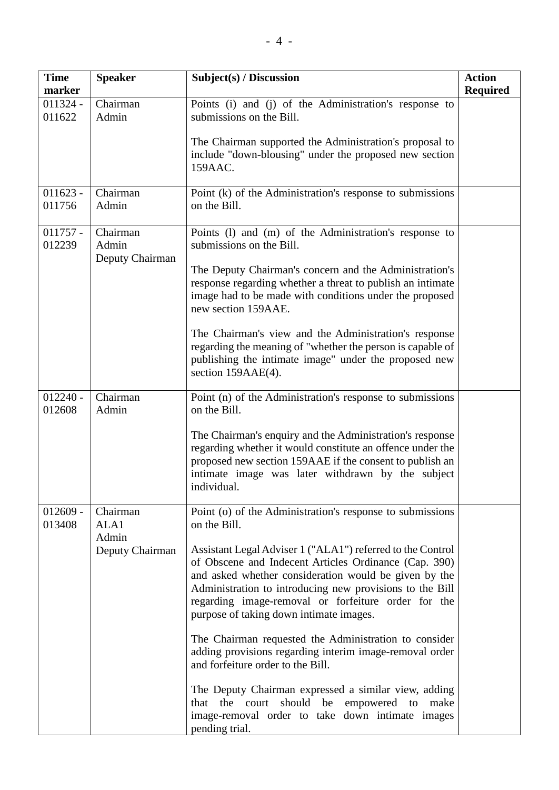| <b>Time</b><br>marker | <b>Speaker</b>                       | Subject(s) / Discussion                                                                                                                                                                                                                                                                                                                    | <b>Action</b><br><b>Required</b> |
|-----------------------|--------------------------------------|--------------------------------------------------------------------------------------------------------------------------------------------------------------------------------------------------------------------------------------------------------------------------------------------------------------------------------------------|----------------------------------|
| $011324 -$<br>011622  | Chairman<br>Admin                    | Points (i) and (j) of the Administration's response to<br>submissions on the Bill.                                                                                                                                                                                                                                                         |                                  |
|                       |                                      | The Chairman supported the Administration's proposal to<br>include "down-blousing" under the proposed new section<br>159AAC.                                                                                                                                                                                                               |                                  |
| $011623 -$<br>011756  | Chairman<br>Admin                    | Point (k) of the Administration's response to submissions<br>on the Bill.                                                                                                                                                                                                                                                                  |                                  |
| $011757 -$<br>012239  | Chairman<br>Admin<br>Deputy Chairman | Points (1) and (m) of the Administration's response to<br>submissions on the Bill.                                                                                                                                                                                                                                                         |                                  |
|                       |                                      | The Deputy Chairman's concern and the Administration's<br>response regarding whether a threat to publish an intimate<br>image had to be made with conditions under the proposed<br>new section 159AAE.                                                                                                                                     |                                  |
|                       |                                      | The Chairman's view and the Administration's response<br>regarding the meaning of "whether the person is capable of<br>publishing the intimate image" under the proposed new<br>section 159AAE(4).                                                                                                                                         |                                  |
| $012240 -$<br>012608  | Chairman<br>Admin                    | Point (n) of the Administration's response to submissions<br>on the Bill.                                                                                                                                                                                                                                                                  |                                  |
|                       |                                      | The Chairman's enquiry and the Administration's response<br>regarding whether it would constitute an offence under the<br>proposed new section 159AAE if the consent to publish an<br>intimate image was later withdrawn by the subject<br>individual.                                                                                     |                                  |
| $012609 -$<br>013408  | Chairman<br>ALA1<br>Admin            | Point (o) of the Administration's response to submissions<br>on the Bill.                                                                                                                                                                                                                                                                  |                                  |
|                       | Deputy Chairman                      | Assistant Legal Adviser 1 ("ALA1") referred to the Control<br>of Obscene and Indecent Articles Ordinance (Cap. 390)<br>and asked whether consideration would be given by the<br>Administration to introducing new provisions to the Bill<br>regarding image-removal or forfeiture order for the<br>purpose of taking down intimate images. |                                  |
|                       |                                      | The Chairman requested the Administration to consider<br>adding provisions regarding interim image-removal order<br>and forfeiture order to the Bill.                                                                                                                                                                                      |                                  |
|                       |                                      | The Deputy Chairman expressed a similar view, adding<br>that the court should be empowered to<br>make<br>image-removal order to take down intimate images<br>pending trial.                                                                                                                                                                |                                  |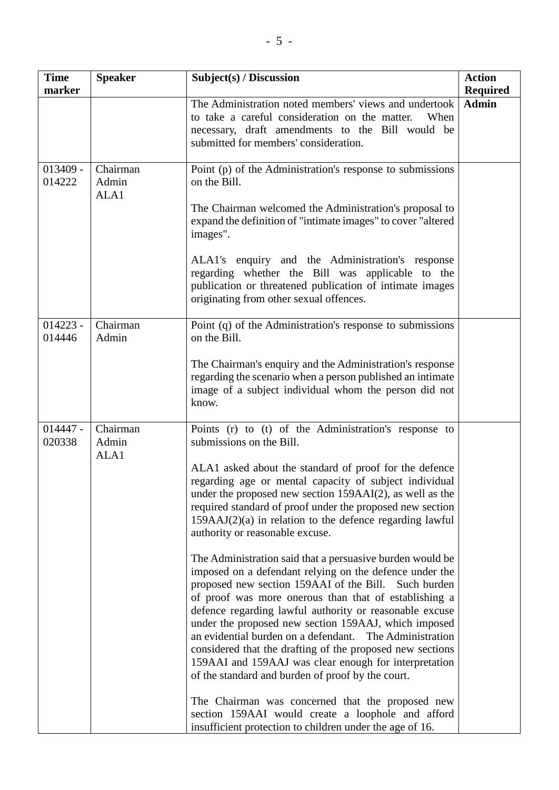| <b>Time</b>          | <b>Speaker</b>            | Subject(s) / Discussion                                                                                                                                                                                                                                                                                                                                                                                                                                                                                                                                                                              | <b>Action</b>                   |
|----------------------|---------------------------|------------------------------------------------------------------------------------------------------------------------------------------------------------------------------------------------------------------------------------------------------------------------------------------------------------------------------------------------------------------------------------------------------------------------------------------------------------------------------------------------------------------------------------------------------------------------------------------------------|---------------------------------|
| marker               |                           | The Administration noted members' views and undertook                                                                                                                                                                                                                                                                                                                                                                                                                                                                                                                                                | <b>Required</b><br><b>Admin</b> |
|                      |                           | to take a careful consideration on the matter.<br>When<br>necessary, draft amendments to the Bill would be<br>submitted for members' consideration.                                                                                                                                                                                                                                                                                                                                                                                                                                                  |                                 |
| $013409 -$<br>014222 | Chairman<br>Admin<br>ALA1 | Point (p) of the Administration's response to submissions<br>on the Bill.                                                                                                                                                                                                                                                                                                                                                                                                                                                                                                                            |                                 |
|                      |                           | The Chairman welcomed the Administration's proposal to<br>expand the definition of "intimate images" to cover "altered<br>images".                                                                                                                                                                                                                                                                                                                                                                                                                                                                   |                                 |
|                      |                           | ALA1's enquiry and the Administration's response<br>regarding whether the Bill was applicable to the<br>publication or threatened publication of intimate images<br>originating from other sexual offences.                                                                                                                                                                                                                                                                                                                                                                                          |                                 |
| $014223 -$<br>014446 | Chairman<br>Admin         | Point (q) of the Administration's response to submissions<br>on the Bill.                                                                                                                                                                                                                                                                                                                                                                                                                                                                                                                            |                                 |
|                      |                           | The Chairman's enquiry and the Administration's response<br>regarding the scenario when a person published an intimate<br>image of a subject individual whom the person did not<br>know.                                                                                                                                                                                                                                                                                                                                                                                                             |                                 |
| $014447 -$<br>020338 | Chairman<br>Admin<br>ALA1 | Points (r) to (t) of the Administration's response to<br>submissions on the Bill.                                                                                                                                                                                                                                                                                                                                                                                                                                                                                                                    |                                 |
|                      |                           | ALA1 asked about the standard of proof for the defence<br>regarding age or mental capacity of subject individual<br>under the proposed new section 159AAI(2), as well as the<br>required standard of proof under the proposed new section<br>$159AAJ(2)(a)$ in relation to the defence regarding lawful<br>authority or reasonable excuse.                                                                                                                                                                                                                                                           |                                 |
|                      |                           | The Administration said that a persuasive burden would be<br>imposed on a defendant relying on the defence under the<br>proposed new section 159AAI of the Bill.<br>Such burden<br>of proof was more onerous than that of establishing a<br>defence regarding lawful authority or reasonable excuse<br>under the proposed new section 159AAJ, which imposed<br>an evidential burden on a defendant.<br>The Administration<br>considered that the drafting of the proposed new sections<br>159AAI and 159AAJ was clear enough for interpretation<br>of the standard and burden of proof by the court. |                                 |
|                      |                           | The Chairman was concerned that the proposed new<br>section 159AAI would create a loophole and afford<br>insufficient protection to children under the age of 16.                                                                                                                                                                                                                                                                                                                                                                                                                                    |                                 |